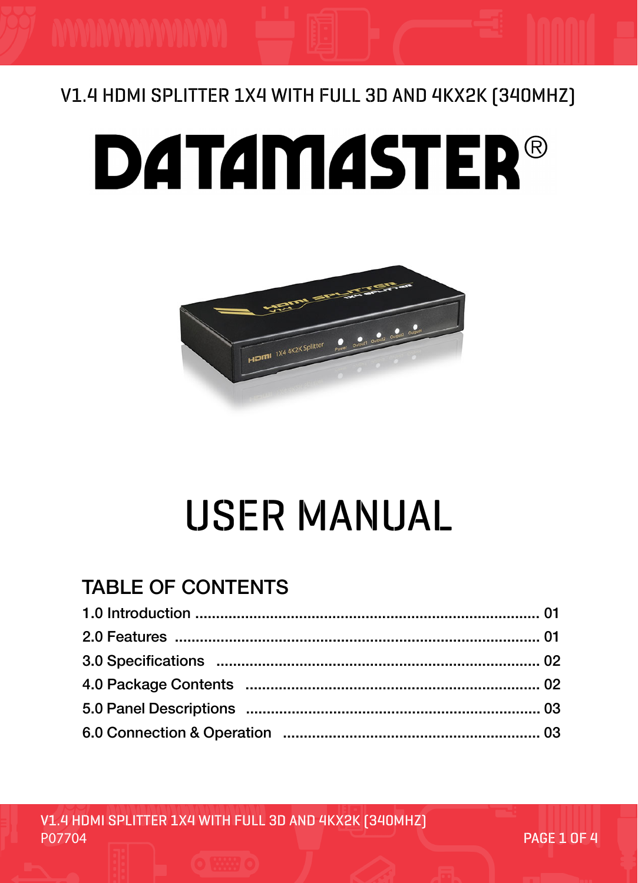### V1.4 HDMI SPLITTER 1X4 WITH FULL 3D AND 4KX2K (340MHZ)

# **DATAMASTER®**



## USER MANUAL

#### TABLE OF CONTENTS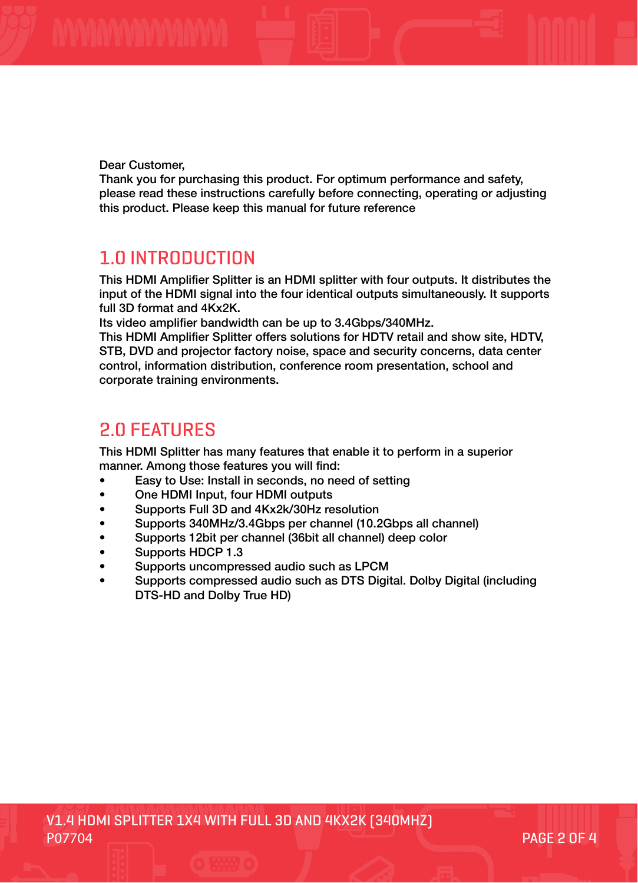Dear Customer,

Thank you for purchasing this product. For optimum performance and safety, please read these instructions carefully before connecting, operating or adjusting this product. Please keep this manual for future reference

#### 1.0 INTRODUCTION

This HDMI Amplifier Splitter is an HDMI splitter with four outputs. It distributes the input of the HDMI signal into the four identical outputs simultaneously. It supports full 3D format and 4Kx2K.

Its video amplifier bandwidth can be up to 3.4Gbps/340MHz.

This HDMI Amplifier Splitter offers solutions for HDTV retail and show site, HDTV, STB, DVD and projector factory noise, space and security concerns, data center control, information distribution, conference room presentation, school and corporate training environments.

#### 2.0 FEATURES

This HDMI Splitter has many features that enable it to perform in a superior manner. Among those features you will find:

- Easy to Use: Install in seconds, no need of setting
- One HDMI Input, four HDMI outputs
- Supports Full 3D and 4Kx2k/30Hz resolution
- Supports 340MHz/3.4Gbps per channel (10.2Gbps all channel)
- Supports 12bit per channel (36bit all channel) deep color
- Supports HDCP 1.3
- Supports uncompressed audio such as LPCM
- Supports compressed audio such as DTS Digital. Dolby Digital (including DTS-HD and Dolby True HD)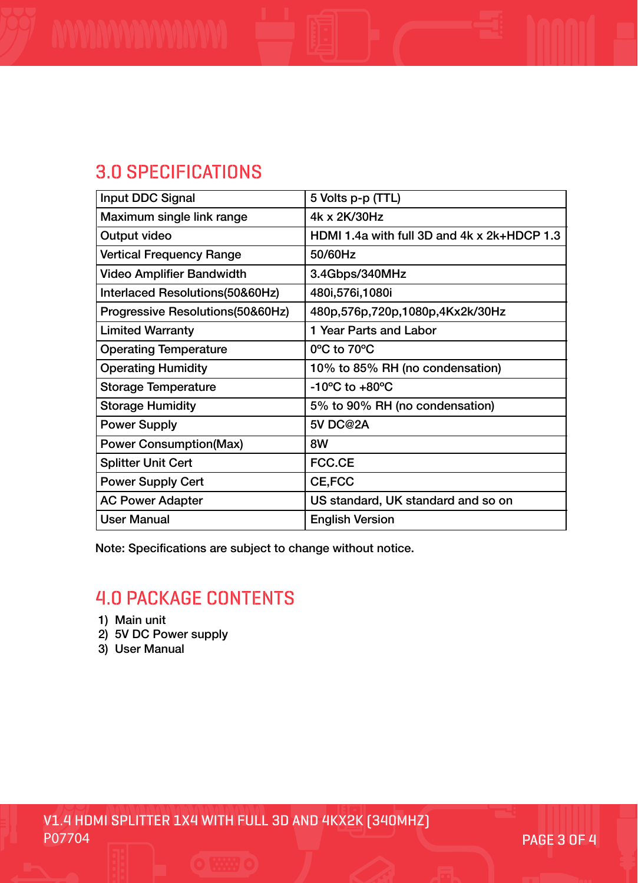#### 3.0 SPECIFICATIONS

| Input DDC Signal                  | 5 Volts p-p (TTL)                           |
|-----------------------------------|---------------------------------------------|
| Maximum single link range         | 4k x 2K/30Hz                                |
| Output video                      | HDMI 1.4a with full 3D and 4k x 2k+HDCP 1.3 |
| <b>Vertical Frequency Range</b>   | 50/60Hz                                     |
| <b>Video Amplifier Bandwidth</b>  | 3.4Gbps/340MHz                              |
| Interlaced Resolutions (50&60Hz)  | 480i, 576i, 1080i                           |
| Progressive Resolutions (50&60Hz) | 480p,576p,720p,1080p,4Kx2k/30Hz             |
| <b>Limited Warranty</b>           | 1 Year Parts and Labor                      |
| <b>Operating Temperature</b>      | 0°C to 70°C                                 |
| <b>Operating Humidity</b>         | 10% to 85% RH (no condensation)             |
| <b>Storage Temperature</b>        | $-10^{\circ}$ C to $+80^{\circ}$ C          |
| <b>Storage Humidity</b>           | 5% to 90% RH (no condensation)              |
| <b>Power Supply</b>               | <b>5V DC@2A</b>                             |
| <b>Power Consumption(Max)</b>     | 8W                                          |
| <b>Splitter Unit Cert</b>         | <b>FCC.CE</b>                               |
| <b>Power Supply Cert</b>          | <b>CE,FCC</b>                               |
| <b>AC Power Adapter</b>           | US standard, UK standard and so on          |
| <b>User Manual</b>                | <b>English Version</b>                      |

Note: Specifications are subject to change without notice.

#### 4.0 PACKAGE CONTENTS

- 1) Main unit
- 2) 5V DC Power supply
- 3) User Manual